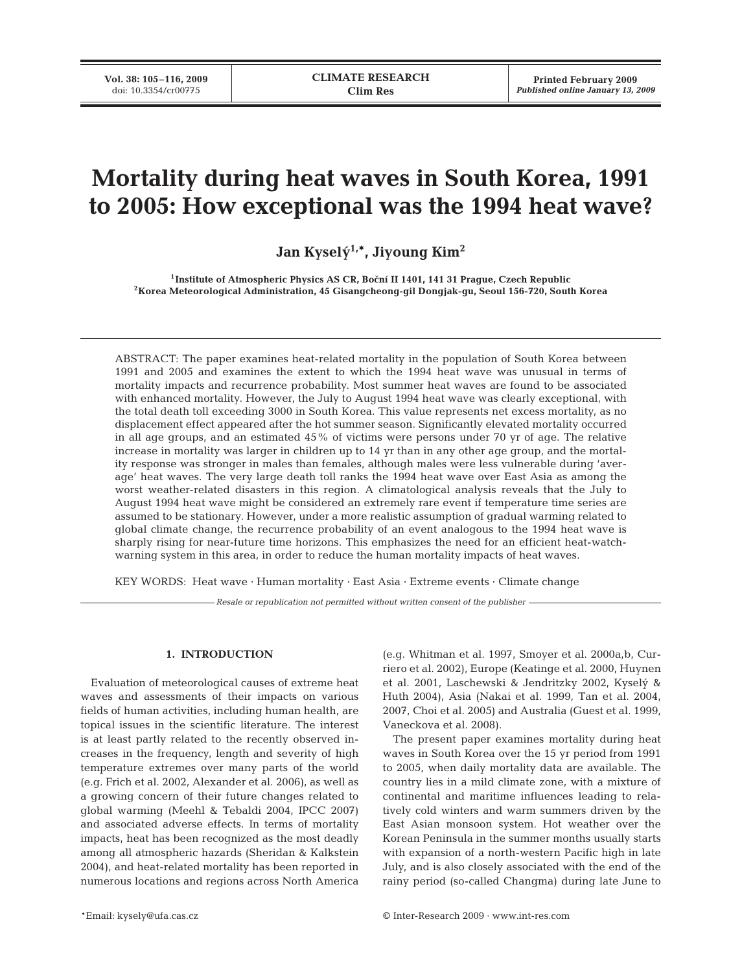# **Mortality during heat waves in South Korea, 1991 to 2005: How exceptional was the 1994 heat wave?**

Jan Kyselý<sup>1,\*</sup>, Jiyoung Kim<sup>2</sup>

<sup>1</sup>Institute of Atmospheric Physics AS CR, Boční II 1401, 141 31 Prague, Czech Republic **2Korea Meteorological Administration, 45 Gisangcheong-gil Dongjak-gu, Seoul 156-720, South Korea**

ABSTRACT: The paper examines heat-related mortality in the population of South Korea between 1991 and 2005 and examines the extent to which the 1994 heat wave was unusual in terms of mortality impacts and recurrence probability. Most summer heat waves are found to be associated with enhanced mortality. However, the July to August 1994 heat wave was clearly exceptional, with the total death toll exceeding 3000 in South Korea. This value represents net excess mortality, as no displacement effect appeared after the hot summer season. Significantly elevated mortality occurred in all age groups, and an estimated 45% of victims were persons under 70 yr of age. The relative increase in mortality was larger in children up to 14 yr than in any other age group, and the mortality response was stronger in males than females, although males were less vulnerable during 'average' heat waves. The very large death toll ranks the 1994 heat wave over East Asia as among the worst weather-related disasters in this region. A climatological analysis reveals that the July to August 1994 heat wave might be considered an extremely rare event if temperature time series are assumed to be stationary. However, under a more realistic assumption of gradual warming related to global climate change, the recurrence probability of an event analogous to the 1994 heat wave is sharply rising for near-future time horizons. This emphasizes the need for an efficient heat-watchwarning system in this area, in order to reduce the human mortality impacts of heat waves.

KEY WORDS: Heat wave · Human mortality · East Asia · Extreme events · Climate change

*Resale or republication not permitted without written consent of the publisher*

## **1. INTRODUCTION**

Evaluation of meteorological causes of extreme heat waves and assessments of their impacts on various fields of human activities, including human health, are topical issues in the scientific literature. The interest is at least partly related to the recently observed increases in the frequency, length and severity of high temperature extremes over many parts of the world (e.g. Frich et al. 2002, Alexander et al. 2006), as well as a growing concern of their future changes related to global warming (Meehl & Tebaldi 2004, IPCC 2007) and associated adverse effects. In terms of mortality impacts, heat has been recognized as the most deadly among all atmospheric hazards (Sheridan & Kalkstein 2004), and heat-related mortality has been reported in numerous locations and regions across North America

(e.g. Whitman et al. 1997, Smoyer et al. 2000a,b, Curriero et al. 2002), Europe (Keatinge et al. 2000, Huynen et al. 2001, Laschewski & Jendritzky 2002, Kyselý & Huth 2004), Asia (Nakai et al. 1999, Tan et al. 2004, 2007, Choi et al. 2005) and Australia (Guest et al. 1999, Vaneckova et al. 2008).

The present paper examines mortality during heat waves in South Korea over the 15 yr period from 1991 to 2005, when daily mortality data are available. The country lies in a mild climate zone, with a mixture of continental and maritime influences leading to relatively cold winters and warm summers driven by the East Asian monsoon system. Hot weather over the Korean Peninsula in the summer months usually starts with expansion of a north-western Pacific high in late July, and is also closely associated with the end of the rainy period (so-called Changma) during late June to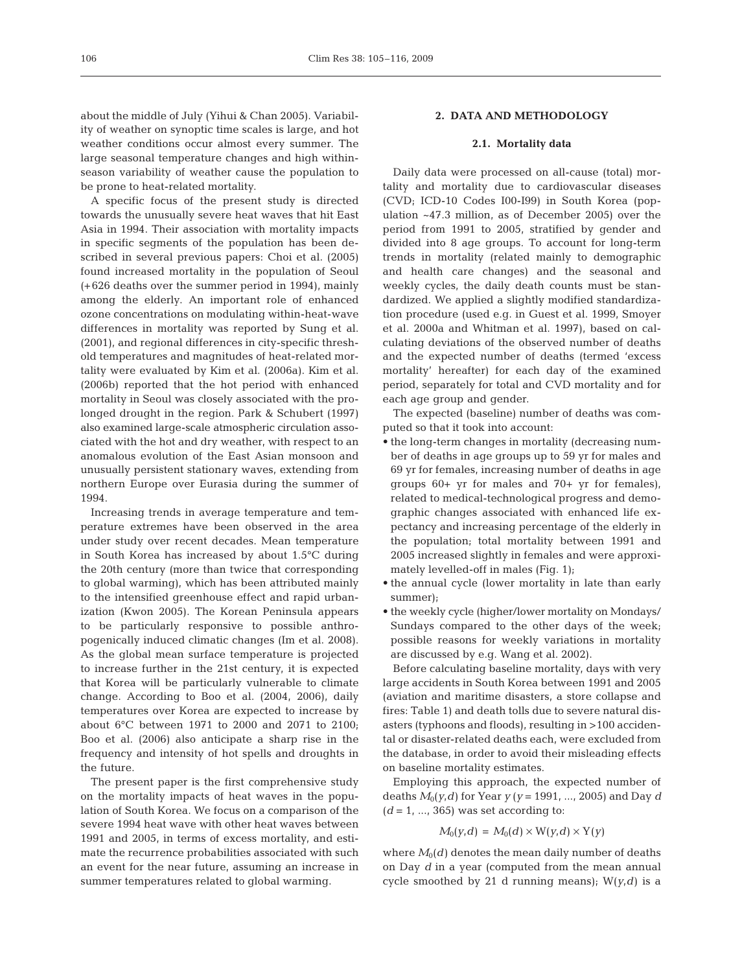about the middle of July (Yihui & Chan 2005). Variability of weather on synoptic time scales is large, and hot weather conditions occur almost every summer. The large seasonal temperature changes and high withinseason variability of weather cause the population to be prone to heat-related mortality.

A specific focus of the present study is directed towards the unusually severe heat waves that hit East Asia in 1994. Their association with mortality impacts in specific segments of the population has been described in several previous papers: Choi et al. (2005) found increased mortality in the population of Seoul (+626 deaths over the summer period in 1994), mainly among the elderly. An important role of enhanced ozone concentrations on modulating within-heat-wave differences in mortality was reported by Sung et al. (2001), and regional differences in city-specific threshold temperatures and magnitudes of heat-related mortality were evaluated by Kim et al. (2006a). Kim et al. (2006b) reported that the hot period with enhanced mortality in Seoul was closely associated with the prolonged drought in the region. Park & Schubert (1997) also examined large-scale atmospheric circulation associated with the hot and dry weather, with respect to an anomalous evolution of the East Asian monsoon and unusually persistent stationary waves, extending from northern Europe over Eurasia during the summer of 1994.

Increasing trends in average temperature and temperature extremes have been observed in the area under study over recent decades. Mean temperature in South Korea has increased by about 1.5°C during the 20th century (more than twice that corresponding to global warming), which has been attributed mainly to the intensified greenhouse effect and rapid urbanization (Kwon 2005). The Korean Peninsula appears to be particularly responsive to possible anthropogenically induced climatic changes (Im et al. 2008). As the global mean surface temperature is projected to increase further in the 21st century, it is expected that Korea will be particularly vulnerable to climate change. According to Boo et al. (2004, 2006), daily temperatures over Korea are expected to increase by about 6°C between 1971 to 2000 and 2071 to 2100; Boo et al. (2006) also anticipate a sharp rise in the frequency and intensity of hot spells and droughts in the future.

The present paper is the first comprehensive study on the mortality impacts of heat waves in the population of South Korea. We focus on a comparison of the severe 1994 heat wave with other heat waves between 1991 and 2005, in terms of excess mortality, and estimate the recurrence probabilities associated with such an event for the near future, assuming an increase in summer temperatures related to global warming.

# **2. DATA AND METHODOLOGY**

#### **2.1. Mortality data**

Daily data were processed on all-cause (total) mortality and mortality due to cardiovascular diseases (CVD; ICD-10 Codes I00-I99) in South Korea (population ~47.3 million, as of December 2005) over the period from 1991 to 2005, stratified by gender and divided into 8 age groups. To account for long-term trends in mortality (related mainly to demographic and health care changes) and the seasonal and weekly cycles, the daily death counts must be standardized. We applied a slightly modified standardization procedure (used e.g. in Guest et al. 1999, Smoyer et al. 2000a and Whitman et al. 1997), based on calculating deviations of the observed number of deaths and the expected number of deaths (termed 'excess mortality' hereafter) for each day of the examined period, separately for total and CVD mortality and for each age group and gender.

The expected (baseline) number of deaths was computed so that it took into account:

- the long-term changes in mortality (decreasing number of deaths in age groups up to 59 yr for males and 69 yr for females, increasing number of deaths in age groups 60+ yr for males and 70+ yr for females), related to medical-technological progress and demographic changes associated with enhanced life expectancy and increasing percentage of the elderly in the population; total mortality between 1991 and 2005 increased slightly in females and were approximately levelled-off in males (Fig. 1);
- the annual cycle (lower mortality in late than early summer);
- the weekly cycle (higher/lower mortality on Mondays/ Sundays compared to the other days of the week; possible reasons for weekly variations in mortality are discussed by e.g. Wang et al. 2002).

Before calculating baseline mortality, days with very large accidents in South Korea between 1991 and 2005 (aviation and maritime disasters, a store collapse and fires: Table 1) and death tolls due to severe natural disasters (typhoons and floods), resulting in >100 accidental or disaster-related deaths each, were excluded from the database, in order to avoid their misleading effects on baseline mortality estimates.

Employing this approach, the expected number of deaths  $M_0(y, d)$  for Year  $y (y = 1991, ..., 2005)$  and Day *d*  $(d = 1, ..., 365)$  was set according to:

$$
M_0(y,d) = M_0(d) \times W(y,d) \times Y(y)
$$

where  $M_0(d)$  denotes the mean daily number of deaths on Day *d* in a year (computed from the mean annual cycle smoothed by 21 d running means);  $W(y,d)$  is a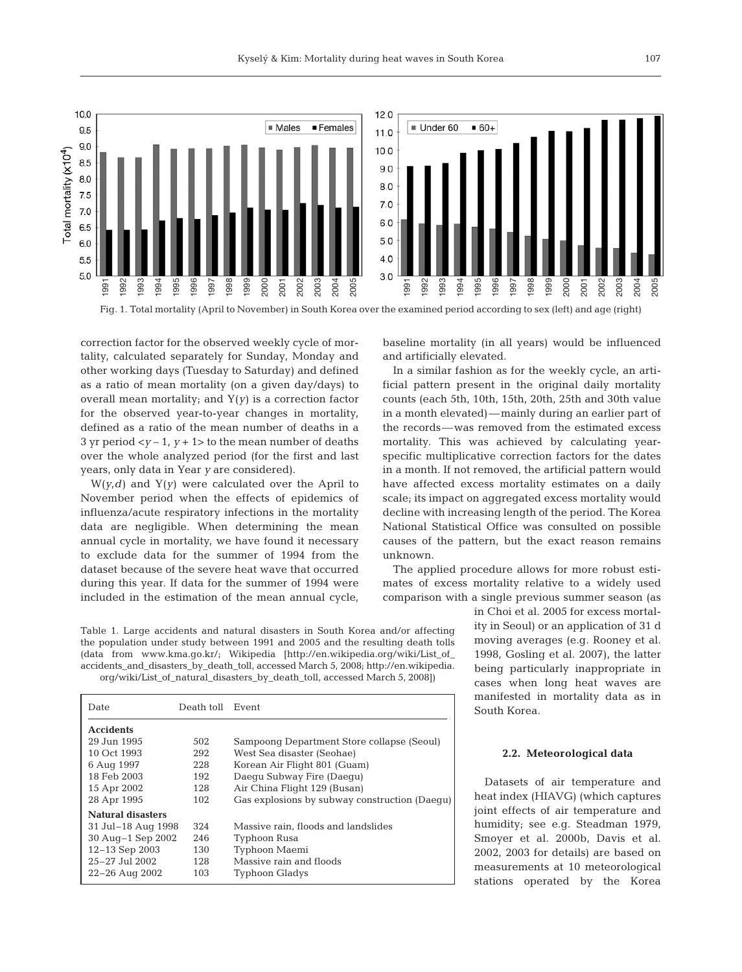

correction factor for the observed weekly cycle of mortality, calculated separately for Sunday, Monday and other working days (Tuesday to Saturday) and defined as a ratio of mean mortality (on a given day/days) to overall mean mortality; and Y(*y*) is a correction factor for the observed year-to-year changes in mortality, defined as a ratio of the mean number of deaths in a 3 yr period  $\langle y-1, y+1 \rangle$  to the mean number of deaths over the whole analyzed period (for the first and last years, only data in Year *y* are considered).

 $W(y,d)$  and  $Y(y)$  were calculated over the April to November period when the effects of epidemics of influenza/acute respiratory infections in the mortality data are negligible. When determining the mean annual cycle in mortality, we have found it necessary to exclude data for the summer of 1994 from the dataset because of the severe heat wave that occurred during this year. If data for the summer of 1994 were included in the estimation of the mean annual cycle, baseline mortality (in all years) would be influenced and artificially elevated.

In a similar fashion as for the weekly cycle, an artificial pattern present in the original daily mortality counts (each 5th, 10th, 15th, 20th, 25th and 30th value in a month elevated)—mainly during an earlier part of the records—was removed from the estimated excess mortality. This was achieved by calculating yearspecific multiplicative correction factors for the dates in a month. If not removed, the artificial pattern would have affected excess mortality estimates on a daily scale; its impact on aggregated excess mortality would decline with increasing length of the period. The Korea National Statistical Office was consulted on possible causes of the pattern, but the exact reason remains unknown.

The applied procedure allows for more robust estimates of excess mortality relative to a widely used comparison with a single previous summer season (as

> in Choi et al. 2005 for excess mortality in Seoul) or an application of 31 d moving averages (e.g. Rooney et al. 1998, Gosling et al. 2007), the latter being particularly inappropriate in cases when long heat waves are manifested in mortality data as in South Korea.

Table 1. Large accidents and natural disasters in South Korea and/or affecting the population under study between 1991 and 2005 and the resulting death tolls (data from www.kma.go.kr/; Wikipedia [http://en.wikipedia.org/wiki/List\_of\_ accidents\_and\_disasters\_by\_death\_toll, accessed March 5, 2008; http://en.wikipedia. org/wiki/List\_of\_natural\_disasters\_by\_death\_toll, accessed March 5, 2008])

| Date                     | Death toll Event |                                               |
|--------------------------|------------------|-----------------------------------------------|
| <b>Accidents</b>         |                  |                                               |
| 29 Jun 1995              | 502              | Sampoong Department Store collapse (Seoul)    |
| 10 Oct 1993              | 292              | West Sea disaster (Seohae)                    |
| 6 Aug 1997               | 228              | Korean Air Flight 801 (Guam)                  |
| 18 Feb 2003              | 192              | Daegu Subway Fire (Daegu)                     |
| 15 Apr 2002              | 128              | Air China Flight 129 (Busan)                  |
| 28 Apr 1995              | 102              | Gas explosions by subway construction (Daequ) |
| <b>Natural disasters</b> |                  |                                               |
| 31 Jul-18 Aug 1998       | 324              | Massive rain, floods and landslides           |
| $30$ Aug $-1$ Sep 2002   | 246              | Typhoon Rusa                                  |
| 12-13 Sep 2003           | 130              | Typhoon Maemi                                 |
| 25-27 Jul 2002           | 128              | Massive rain and floods                       |
| $22 - 26$ Aug $2002$     | 103              | <b>Typhoon Gladys</b>                         |

#### **2.2. Meteorological data**

Datasets of air temperature and heat index (HIAVG) (which captures joint effects of air temperature and humidity; see e.g. Steadman 1979, Smoyer et al. 2000b, Davis et al. 2002, 2003 for details) are based on measurements at 10 meteorological stations operated by the Korea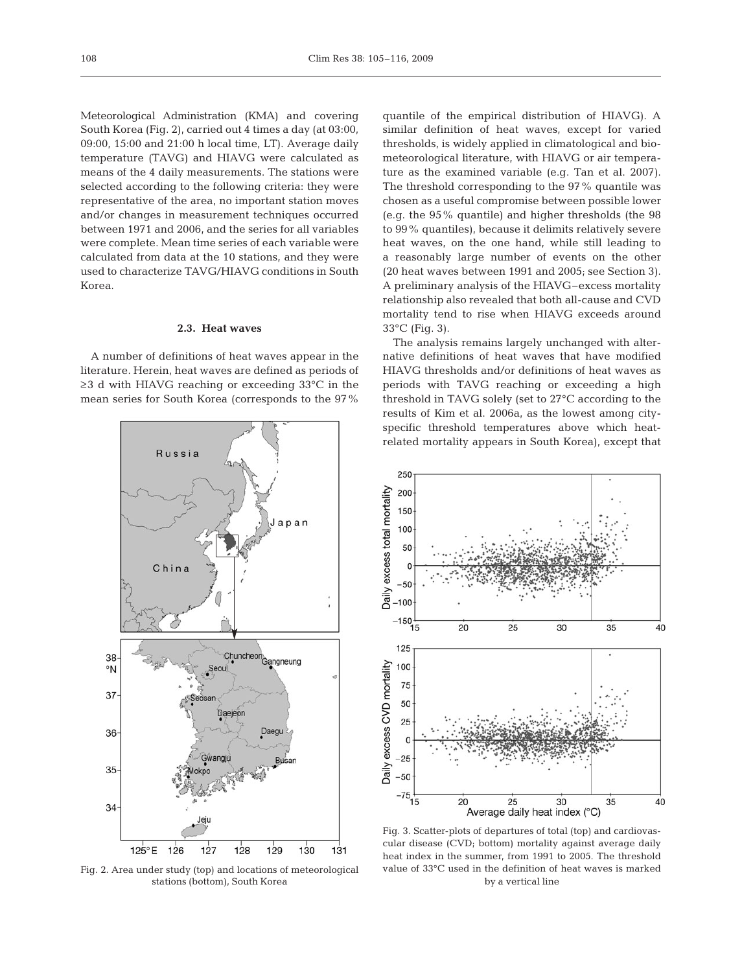Meteorological Administration (KMA) and covering South Korea (Fig. 2), carried out 4 times a day (at 03:00, 09:00, 15:00 and 21:00 h local time, LT). Average daily temperature (TAVG) and HIAVG were calculated as means of the 4 daily measurements. The stations were selected according to the following criteria: they were representative of the area, no important station moves and/or changes in measurement techniques occurred between 1971 and 2006, and the series for all variables were complete. Mean time series of each variable were calculated from data at the 10 stations, and they were used to characterize TAVG/HIAVG conditions in South Korea.

## **2.3. Heat waves**

A number of definitions of heat waves appear in the literature. Herein, heat waves are defined as periods of ≥3 d with HIAVG reaching or exceeding 33°C in the mean series for South Korea (corresponds to the 97%



Fig. 2. Area under study (top) and locations of meteorological stations (bottom), South Korea

quantile of the empirical distribution of HIAVG). A similar definition of heat waves, except for varied thresholds, is widely applied in climatological and biometeorological literature, with HIAVG or air temperature as the examined variable (e.g. Tan et al. 2007). The threshold corresponding to the 97% quantile was chosen as a useful compromise between possible lower (e.g. the 95% quantile) and higher thresholds (the 98 to 99% quantiles), because it delimits relatively severe heat waves, on the one hand, while still leading to a reasonably large number of events on the other (20 heat waves between 1991 and 2005; see Section 3). A preliminary analysis of the HIAVG–excess mortality relationship also revealed that both all-cause and CVD mortality tend to rise when HIAVG exceeds around 33°C (Fig. 3).

The analysis remains largely unchanged with alternative definitions of heat waves that have modified HIAVG thresholds and/or definitions of heat waves as periods with TAVG reaching or exceeding a high threshold in TAVG solely (set to 27°C according to the results of Kim et al. 2006a, as the lowest among cityspecific threshold temperatures above which heatrelated mortality appears in South Korea), except that



Fig. 3. Scatter-plots of departures of total (top) and cardiovascular disease (CVD; bottom) mortality against average daily heat index in the summer, from 1991 to 2005. The threshold value of 33°C used in the definition of heat waves is marked by a vertical line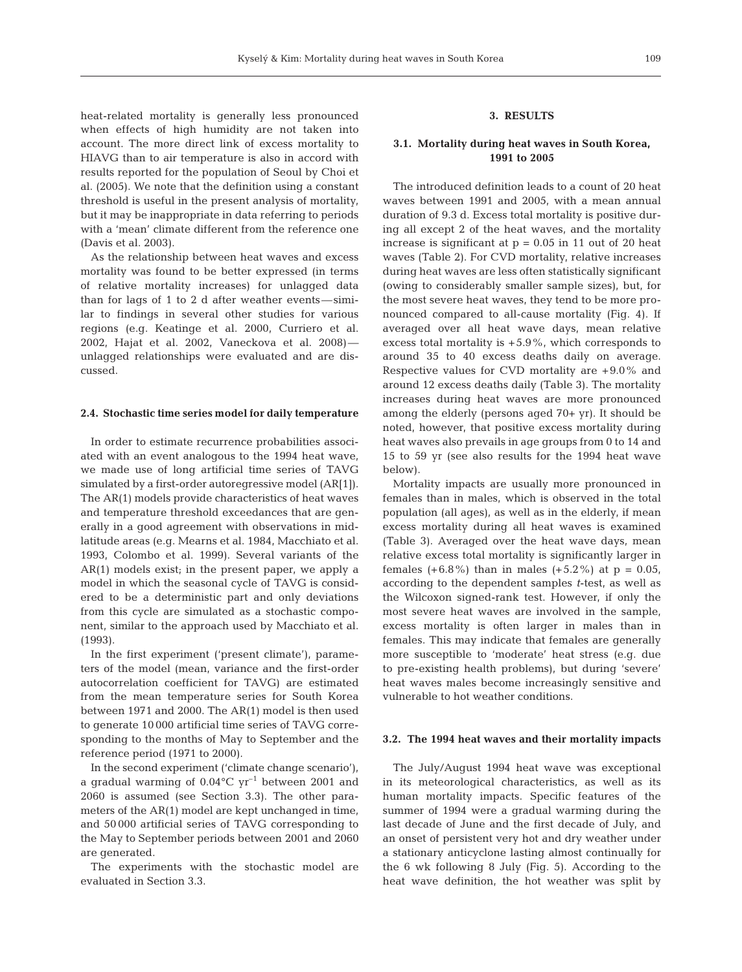heat-related mortality is generally less pronounced when effects of high humidity are not taken into account. The more direct link of excess mortality to HIAVG than to air temperature is also in accord with results reported for the population of Seoul by Choi et al. (2005). We note that the definition using a constant threshold is useful in the present analysis of mortality, but it may be inappropriate in data referring to periods with a 'mean' climate different from the reference one (Davis et al. 2003).

As the relationship between heat waves and excess mortality was found to be better expressed (in terms of relative mortality increases) for unlagged data than for lags of 1 to 2 d after weather events—similar to findings in several other studies for various regions (e.g. Keatinge et al. 2000, Curriero et al. 2002, Hajat et al. 2002, Vaneckova et al. 2008) unlagged relationships were evaluated and are discussed.

#### **2.4. Stochastic time series model for daily temperature**

In order to estimate recurrence probabilities associated with an event analogous to the 1994 heat wave, we made use of long artificial time series of TAVG simulated by a first-order autoregressive model (AR[1]). The AR(1) models provide characteristics of heat waves and temperature threshold exceedances that are generally in a good agreement with observations in midlatitude areas (e.g. Mearns et al. 1984, Macchiato et al. 1993, Colombo et al. 1999). Several variants of the AR(1) models exist; in the present paper, we apply a model in which the seasonal cycle of TAVG is considered to be a deterministic part and only deviations from this cycle are simulated as a stochastic component, similar to the approach used by Macchiato et al. (1993).

In the first experiment ('present climate'), parameters of the model (mean, variance and the first-order autocorrelation coefficient for TAVG) are estimated from the mean temperature series for South Korea between 1971 and 2000. The AR(1) model is then used to generate 10 000 artificial time series of TAVG corresponding to the months of May to September and the reference period (1971 to 2000).

In the second experiment ('climate change scenario'), a gradual warming of  $0.04^{\circ}$ C yr<sup>-1</sup> between 2001 and 2060 is assumed (see Section 3.3). The other parameters of the AR(1) model are kept unchanged in time, and 50 000 artificial series of TAVG corresponding to the May to September periods between 2001 and 2060 are generated.

The experiments with the stochastic model are evaluated in Section 3.3.

## **3. RESULTS**

# **3.1. Mortality during heat waves in South Korea, 1991 to 2005**

The introduced definition leads to a count of 20 heat waves between 1991 and 2005, with a mean annual duration of 9.3 d. Excess total mortality is positive during all except 2 of the heat waves, and the mortality increase is significant at  $p = 0.05$  in 11 out of 20 heat waves (Table 2). For CVD mortality, relative increases during heat waves are less often statistically significant (owing to considerably smaller sample sizes), but, for the most severe heat waves, they tend to be more pronounced compared to all-cause mortality (Fig. 4). If averaged over all heat wave days, mean relative excess total mortality is  $+5.9\%$ , which corresponds to around 35 to 40 excess deaths daily on average. Respective values for CVD mortality are +9.0% and around 12 excess deaths daily (Table 3). The mortality increases during heat waves are more pronounced among the elderly (persons aged 70+ yr). It should be noted, however, that positive excess mortality during heat waves also prevails in age groups from 0 to 14 and 15 to 59 yr (see also results for the 1994 heat wave below).

Mortality impacts are usually more pronounced in females than in males, which is observed in the total population (all ages), as well as in the elderly, if mean excess mortality during all heat waves is examined (Table 3). Averaged over the heat wave days, mean relative excess total mortality is significantly larger in females  $(+6.8\%)$  than in males  $(+5.2\%)$  at  $p = 0.05$ , according to the dependent samples *t*-test, as well as the Wilcoxon signed-rank test. However, if only the most severe heat waves are involved in the sample, excess mortality is often larger in males than in females. This may indicate that females are generally more susceptible to 'moderate' heat stress (e.g. due to pre-existing health problems), but during 'severe' heat waves males become increasingly sensitive and vulnerable to hot weather conditions.

#### **3.2. The 1994 heat waves and their mortality impacts**

The July/August 1994 heat wave was exceptional in its meteorological characteristics, as well as its human mortality impacts. Specific features of the summer of 1994 were a gradual warming during the last decade of June and the first decade of July, and an onset of persistent very hot and dry weather under a stationary anticyclone lasting almost continually for the 6 wk following 8 July (Fig. 5). According to the heat wave definition, the hot weather was split by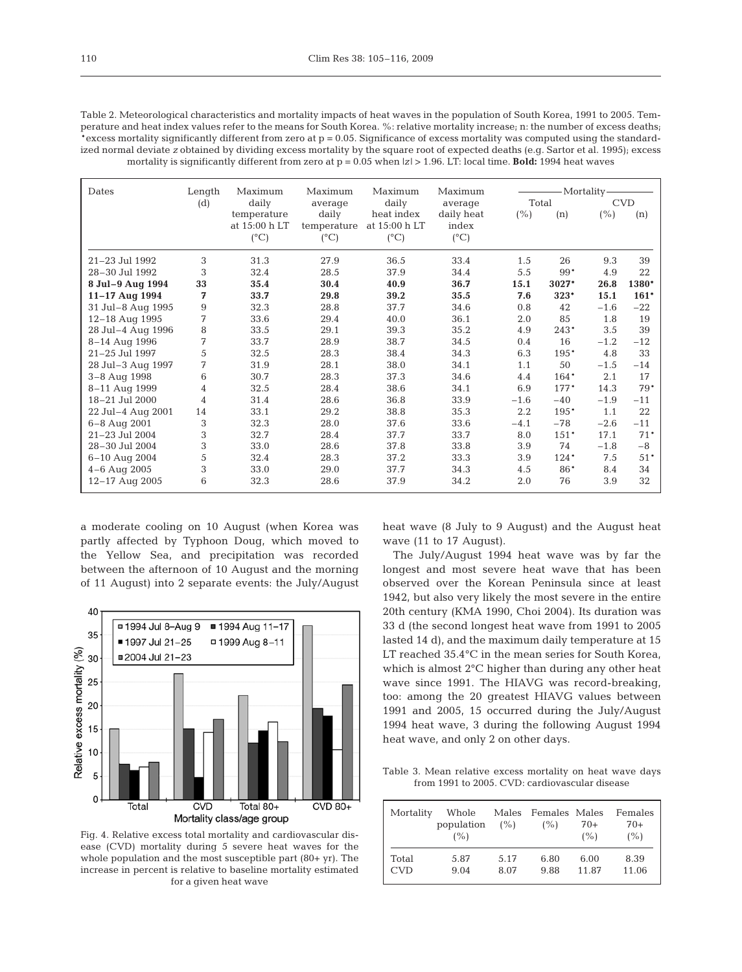Table 2. Meteorological characteristics and mortality impacts of heat waves in the population of South Korea, 1991 to 2005. Temperature and heat index values refer to the means for South Korea. %: relative mortality increase; n: the number of excess deaths; \*excess mortality significantly different from zero at p = 0.05. Significance of excess mortality was computed using the standardized normal deviate *z* obtained by dividing excess mortality by the square root of expected deaths (e.g. Sartor et al. 1995); excess mortality is significantly different from zero at p = 0.05 when |*z*| > 1.96. LT: local time. **Bold:** 1994 heat waves

| Dates                  | Length         | Maximum       | Maximum       | Maximum          | Maximum       | Mortality- |        |            |        |
|------------------------|----------------|---------------|---------------|------------------|---------------|------------|--------|------------|--------|
|                        | (d)            | daily         | average       | daily<br>average |               | Total      |        | <b>CVD</b> |        |
|                        |                | temperature   | daily         | heat index       | daily heat    | (% )       | (n)    | (% )       | (n)    |
|                        |                | at 15:00 h LT | temperature   | at 15:00 h LT    | index         |            |        |            |        |
|                        |                | $(^{\circ}C)$ | $(^{\circ}C)$ | $(^{\circ}C)$    | $(^{\circ}C)$ |            |        |            |        |
| 21-23 Jul 1992         | 3              | 31.3          | 27.9          | 36.5             | 33.4          | 1.5        | 26     | 9.3        | 39     |
| 28-30 Jul 1992         | 3              | 32.4          | 28.5          | 37.9             | 34.4          | 5.5        | 99*    | 4.9        | 22     |
| 8 Jul-9 Aug 1994       | 33             | 35.4          | 30.4          | 40.9             | 36.7          | 15.1       | 3027*  | 26.8       | 1380*  |
| 11-17 Aug 1994         | 7              | 33.7          | 29.8          | 39.2             | 35.5          | 7.6        | 323*   | 15.1       | $161*$ |
| 31 Jul-8 Aug 1995      | 9              | 32.3          | 28.8          | 37.7             | 34.6          | 0.8        | 42     | $-1.6$     | $-22$  |
| 12-18 Aug 1995         | 7              | 33.6          | 29.4          | 40.0             | 36.1          | 2.0        | 85     | 1.8        | 19     |
| 8<br>28 Jul-4 Aug 1996 |                | 33.5          | 29.1          | 39.3             | 35.2          | 4.9        | 243*   | 3.5        | 39     |
| 8-14 Aug 1996          | 7              | 33.7          | 28.9          | 38.7             | 34.5          | 0.4        | 16     | $-1.2$     | $-12$  |
| 21-25 Jul 1997         | 5              | 32.5          | 28.3          | 38.4             | 34.3          | 6.3        | 195*   | 4.8        | 33     |
| 28 Jul-3 Aug 1997      | 7              | 31.9          | 28.1          | 38.0             | 34.1          | 1.1        | 50     | $-1.5$     | $-14$  |
| 3-8 Aug 1998           | 6              | 30.7          | 28.3          | 37.3             | 34.6          | 4.4        | 164*   | 2.1        | 17     |
| 8-11 Aug 1999          | $\overline{4}$ | 32.5          | 28.4          | 38.6             | 34.1          | 6.9        | 177*   | 14.3       | 79*    |
| 18-21 Jul 2000         | 4              | 31.4          | 28.6          | 36.8             | 33.9          | $-1.6$     | $-40$  | $-1.9$     | $-11$  |
| 22 Jul-4 Aug 2001      | 14             | 33.1          | 29.2          | 38.8             | 35.3          | $2.2\,$    | 195*   | 1.1        | 22     |
| 6-8 Aug 2001           | 3              | 32.3          | 28.0          | 37.6             | 33.6          | $-4.1$     | $-78$  | $-2.6$     | $-11$  |
| 21-23 Jul 2004         | 3              | 32.7          | 28.4          | 37.7             | 33.7          | 8.0        | $151*$ | 17.1       | $71*$  |
| 28-30 Jul 2004         | 3              | 33.0          | 28.6          | 37.8             | 33.8          | 3.9        | 74     | $-1.8$     | $-8$   |
| 6-10 Aug 2004          | 5              | 32.4          | 28.3          | 37.2             | 33.3          | 3.9        | $124*$ | 7.5        | $51*$  |
| $4 - 6$ Aug 2005       | 3              | 33.0          | 29.0          | 37.7             | 34.3          | 4.5        | 86*    | 8.4        | 34     |
| 12-17 Aug 2005         | 6              | 32.3          | 28.6          | 37.9             | 34.2          | 2.0        | 76     | 3.9        | 32     |

a moderate cooling on 10 August (when Korea was partly affected by Typhoon Doug, which moved to the Yellow Sea, and precipitation was recorded between the afternoon of 10 August and the morning of 11 August) into 2 separate events: the July/August



Fig. 4. Relative excess total mortality and cardiovascular disease (CVD) mortality during 5 severe heat waves for the whole population and the most susceptible part (80+ yr). The increase in percent is relative to baseline mortality estimated for a given heat wave

heat wave (8 July to 9 August) and the August heat wave (11 to 17 August).

The July/August 1994 heat wave was by far the longest and most severe heat wave that has been observed over the Korean Peninsula since at least 1942, but also very likely the most severe in the entire 20th century (KMA 1990, Choi 2004). Its duration was 33 d (the second longest heat wave from 1991 to 2005 lasted 14 d), and the maximum daily temperature at 15 LT reached 35.4°C in the mean series for South Korea, which is almost 2°C higher than during any other heat wave since 1991. The HIAVG was record-breaking, too: among the 20 greatest HIAVG values between 1991 and 2005, 15 occurred during the July/August 1994 heat wave, 3 during the following August 1994 heat wave, and only 2 on other days.

Table 3. Mean relative excess mortality on heat wave days from 1991 to 2005. CVD: cardiovascular disease

| Mortality  | Whole<br>population<br>(%) | $($ %) | Males Females Males<br>(%) | 70+<br>(%) | Females<br>$70+$<br>(%) |
|------------|----------------------------|--------|----------------------------|------------|-------------------------|
| Total      | 5.87                       | 5.17   | 6.80                       | 6.00       | 8.39                    |
| <b>CVD</b> | 9.04                       | 8.07   | 9.88                       | 11.87      | 11.06                   |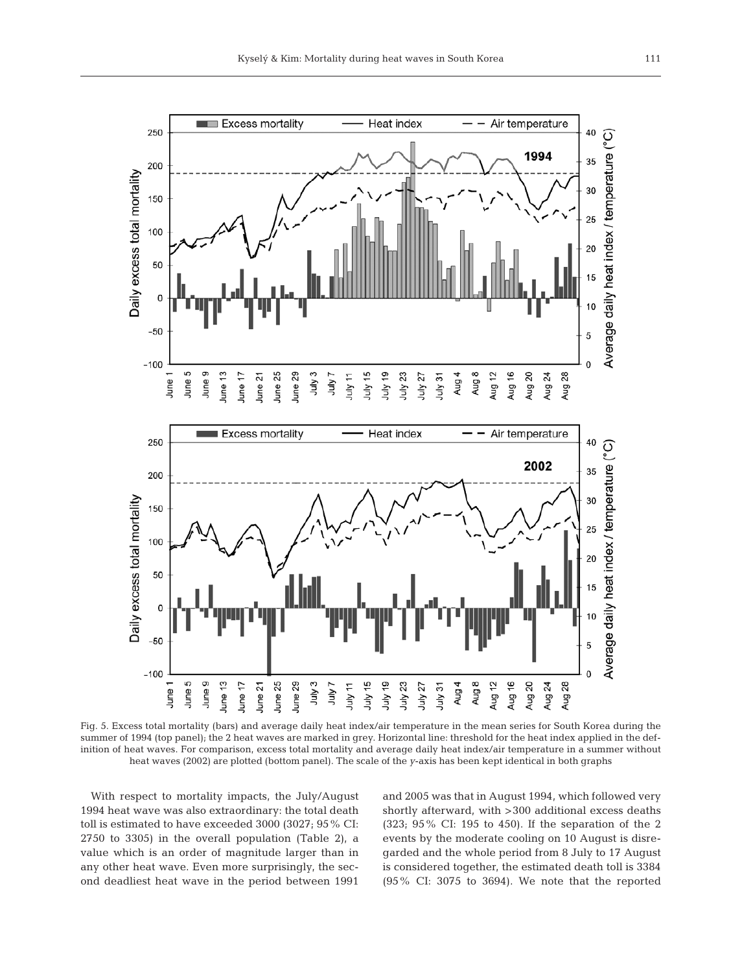

Fig. 5. Excess total mortality (bars) and average daily heat index/air temperature in the mean series for South Korea during the summer of 1994 (top panel); the 2 heat waves are marked in grey. Horizontal line: threshold for the heat index applied in the definition of heat waves. For comparison, excess total mortality and average daily heat index/air temperature in a summer without heat waves (2002) are plotted (bottom panel). The scale of the *y*-axis has been kept identical in both graphs

With respect to mortality impacts, the July/August 1994 heat wave was also extraordinary: the total death toll is estimated to have exceeded 3000 (3027; 95% CI: 2750 to 3305) in the overall population (Table 2), a value which is an order of magnitude larger than in any other heat wave. Even more surprisingly, the second deadliest heat wave in the period between 1991

and 2005 was that in August 1994, which followed very shortly afterward, with >300 additional excess deaths (323; 95% CI: 195 to 450). If the separation of the 2 events by the moderate cooling on 10 August is disregarded and the whole period from 8 July to 17 August is considered together, the estimated death toll is 3384 (95% CI: 3075 to 3694). We note that the reported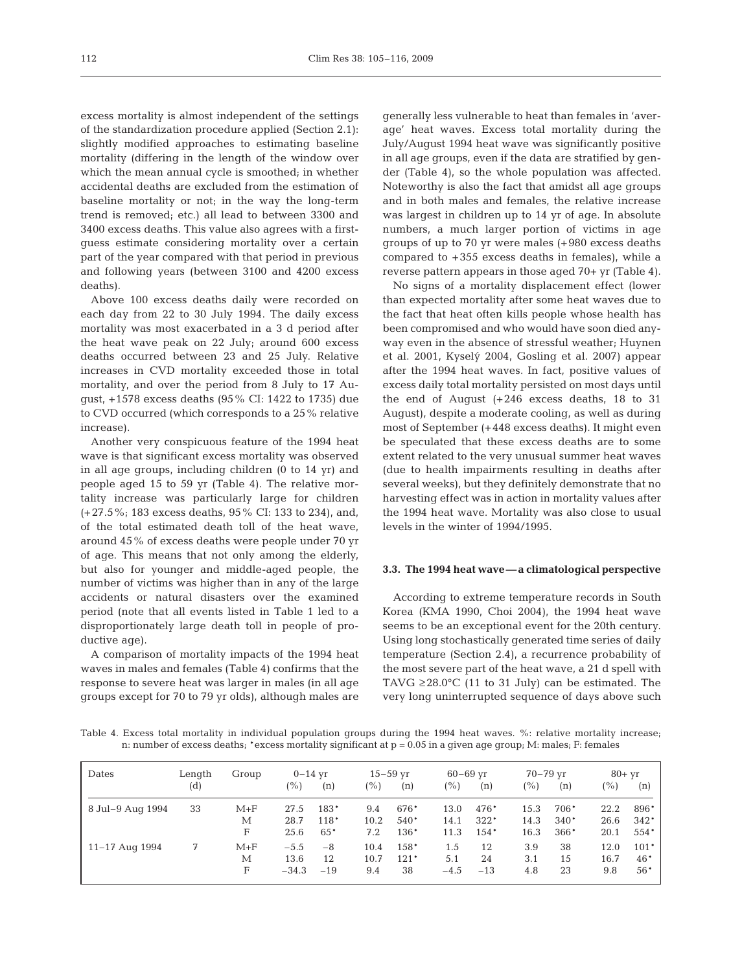excess mortality is almost independent of the settings of the standardization procedure applied (Section 2.1): slightly modified approaches to estimating baseline mortality (differing in the length of the window over which the mean annual cycle is smoothed; in whether accidental deaths are excluded from the estimation of baseline mortality or not; in the way the long-term trend is removed; etc.) all lead to between 3300 and 3400 excess deaths. This value also agrees with a firstguess estimate considering mortality over a certain part of the year compared with that period in previous and following years (between 3100 and 4200 excess deaths).

Above 100 excess deaths daily were recorded on each day from 22 to 30 July 1994. The daily excess mortality was most exacerbated in a 3 d period after the heat wave peak on 22 July; around 600 excess deaths occurred between 23 and 25 July. Relative increases in CVD mortality exceeded those in total mortality, and over the period from 8 July to 17 August, +1578 excess deaths (95% CI: 1422 to 1735) due to CVD occurred (which corresponds to a 25% relative increase).

Another very conspicuous feature of the 1994 heat wave is that significant excess mortality was observed in all age groups, including children (0 to 14 yr) and people aged 15 to 59 yr (Table 4). The relative mortality increase was particularly large for children (+27.5%; 183 excess deaths, 95% CI: 133 to 234), and, of the total estimated death toll of the heat wave, around 45% of excess deaths were people under 70 yr of age. This means that not only among the elderly, but also for younger and middle-aged people, the number of victims was higher than in any of the large accidents or natural disasters over the examined period (note that all events listed in Table 1 led to a disproportionately large death toll in people of productive age).

A comparison of mortality impacts of the 1994 heat waves in males and females (Table 4) confirms that the response to severe heat was larger in males (in all age groups except for 70 to 79 yr olds), although males are

generally less vulnerable to heat than females in 'average' heat waves. Excess total mortality during the July/August 1994 heat wave was significantly positive in all age groups, even if the data are stratified by gender (Table 4), so the whole population was affected. Noteworthy is also the fact that amidst all age groups and in both males and females, the relative increase was largest in children up to 14 yr of age. In absolute numbers, a much larger portion of victims in age groups of up to 70 yr were males (+980 excess deaths compared to +355 excess deaths in females), while a reverse pattern appears in those aged 70+ yr (Table 4).

No signs of a mortality displacement effect (lower than expected mortality after some heat waves due to the fact that heat often kills people whose health has been compromised and who would have soon died anyway even in the absence of stressful weather; Huynen et al. 2001, Kyselý 2004, Gosling et al. 2007) appear after the 1994 heat waves. In fact, positive values of excess daily total mortality persisted on most days until the end of August (+246 excess deaths, 18 to 31 August), despite a moderate cooling, as well as during most of September (+448 excess deaths). It might even be speculated that these excess deaths are to some extent related to the very unusual summer heat waves (due to health impairments resulting in deaths after several weeks), but they definitely demonstrate that no harvesting effect was in action in mortality values after the 1994 heat wave. Mortality was also close to usual levels in the winter of 1994/1995.

# **3.3. The 1994 heat wave—a climatological perspective**

According to extreme temperature records in South Korea (KMA 1990, Choi 2004), the 1994 heat wave seems to be an exceptional event for the 20th century. Using long stochastically generated time series of daily temperature (Section 2.4), a recurrence probability of the most severe part of the heat wave, a 21 d spell with TAVG  $\geq$ 28.0°C (11 to 31 July) can be estimated. The very long uninterrupted sequence of days above such

Table 4. Excess total mortality in individual population groups during the 1994 heat waves. %: relative mortality increase; n: number of excess deaths; \*excess mortality significant at p = 0.05 in a given age group; M: males; F: females

| Dates            | Length | Group   | $0-14$ yr     |        |      | $15 - 59$ yr | $60 - 69$ yr |        | $70 - 79$ yr |        | $80+yr$       |        |
|------------------|--------|---------|---------------|--------|------|--------------|--------------|--------|--------------|--------|---------------|--------|
|                  | (d)    |         | $\frac{9}{0}$ | (n)    | (%)  | (n)          | (%)          | (n)    | (%)          | (n)    | $\frac{9}{6}$ | (n)    |
| 8 Jul-9 Aug 1994 | 33     | $M + F$ | 27.5          | 183*   | 9.4  | 676*         | 13.0         | 476*   | 15.3         | 706*   | 22.2          | 896*   |
|                  |        | М       | 28.7          | $118*$ | 10.2 | $540*$       | 14.1         | $322*$ | 14.3         | $340*$ | 26.6          | $342*$ |
|                  |        | F       | 25.6          | $65*$  | 7.2  | 136*         | 11.3         | $154*$ | 16.3         | 366*   | 20.1          | $554*$ |
| $11-17$ Aug 1994 | 7      | $M + F$ | $-5.5$        | $-8$   | 10.4 | 158*         | 1.5          | 12     | 3.9          | 38     | 12.0          | $101*$ |
|                  |        | М       | 13.6          | 12     | 10.7 | $121*$       | 5.1          | 24     | 3.1          | 15     | 16.7          | $46*$  |
|                  |        | F       | $-34.3$       | $-19$  | 9.4  | 38           | $-4.5$       | $-13$  | 4.8          | 23     | 9.8           | $56*$  |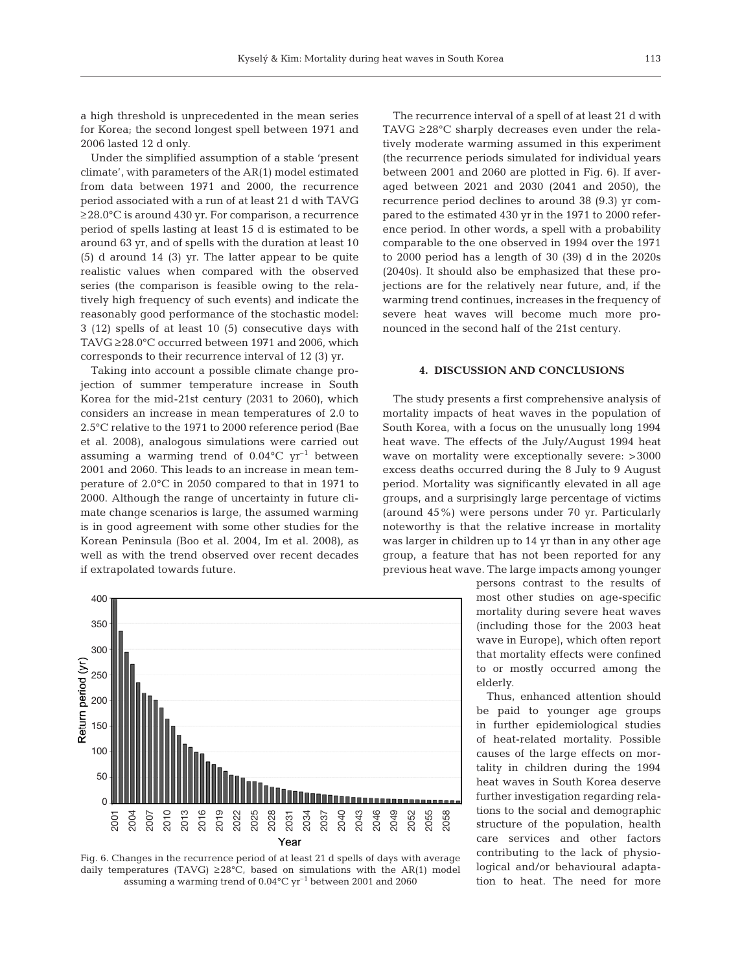a high threshold is unprecedented in the mean series for Korea; the second longest spell between 1971 and 2006 lasted 12 d only.

Under the simplified assumption of a stable 'present climate', with parameters of the AR(1) model estimated from data between 1971 and 2000, the recurrence period associated with a run of at least 21 d with TAVG ≥28.0°C is around 430 yr. For comparison, a recurrence period of spells lasting at least 15 d is estimated to be around 63 yr, and of spells with the duration at least 10 (5) d around 14 (3) yr. The latter appear to be quite realistic values when compared with the observed series (the comparison is feasible owing to the relatively high frequency of such events) and indicate the reasonably good performance of the stochastic model: 3 (12) spells of at least 10 (5) consecutive days with TAVG ≥28.0°C occurred between 1971 and 2006, which corresponds to their recurrence interval of 12 (3) yr.

Taking into account a possible climate change projection of summer temperature increase in South Korea for the mid-21st century (2031 to 2060), which considers an increase in mean temperatures of 2.0 to 2.5°C relative to the 1971 to 2000 reference period (Bae et al. 2008), analogous simulations were carried out assuming a warming trend of  $0.04^{\circ}$ C yr<sup>-1</sup> between 2001 and 2060. This leads to an increase in mean temperature of 2.0°C in 2050 compared to that in 1971 to 2000. Although the range of uncertainty in future climate change scenarios is large, the assumed warming is in good agreement with some other studies for the Korean Peninsula (Boo et al. 2004, Im et al. 2008), as well as with the trend observed over recent decades if extrapolated towards future.



Fig. 6. Changes in the recurrence period of at least 21 d spells of days with average daily temperatures (TAVG)  $\geq 28^{\circ}$ C, based on simulations with the AR(1) model assuming a warming trend of  $0.04^{\circ}$ C yr<sup>-1</sup> between 2001 and 2060

The recurrence interval of a spell of at least 21 d with TAVG ≥28°C sharply decreases even under the relatively moderate warming assumed in this experiment (the recurrence periods simulated for individual years between 2001 and 2060 are plotted in Fig. 6). If averaged between 2021 and 2030 (2041 and 2050), the recurrence period declines to around 38 (9.3) yr compared to the estimated 430 yr in the 1971 to 2000 reference period. In other words, a spell with a probability comparable to the one observed in 1994 over the 1971 to 2000 period has a length of 30 (39) d in the 2020s (2040s). It should also be emphasized that these projections are for the relatively near future, and, if the warming trend continues, increases in the frequency of severe heat waves will become much more pronounced in the second half of the 21st century.

## **4. DISCUSSION AND CONCLUSIONS**

The study presents a first comprehensive analysis of mortality impacts of heat waves in the population of South Korea, with a focus on the unusually long 1994 heat wave. The effects of the July/August 1994 heat wave on mortality were exceptionally severe: >3000 excess deaths occurred during the 8 July to 9 August period. Mortality was significantly elevated in all age groups, and a surprisingly large percentage of victims (around 45%) were persons under 70 yr. Particularly noteworthy is that the relative increase in mortality was larger in children up to 14 yr than in any other age group, a feature that has not been reported for any previous heat wave. The large impacts among younger

> persons contrast to the results of most other studies on age-specific mortality during severe heat waves (including those for the 2003 heat wave in Europe), which often report that mortality effects were confined to or mostly occurred among the elderly.

> Thus, enhanced attention should be paid to younger age groups in further epidemiological studies of heat-related mortality. Possible causes of the large effects on mortality in children during the 1994 heat waves in South Korea deserve further investigation regarding relations to the social and demographic structure of the population, health care services and other factors contributing to the lack of physiological and/or behavioural adaptation to heat. The need for more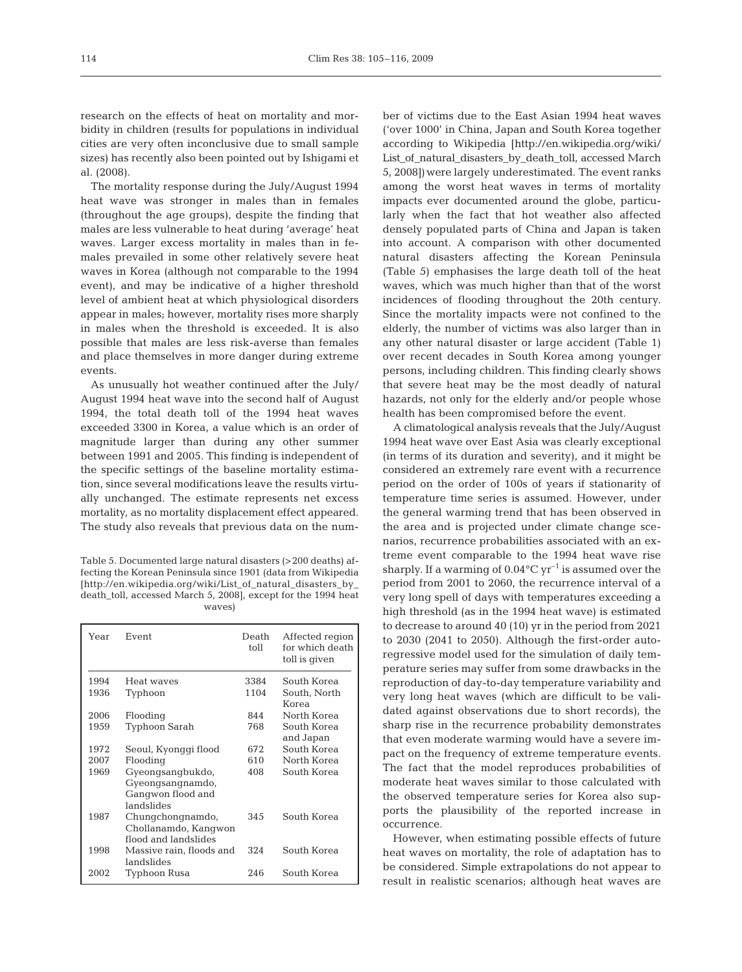research on the effects of heat on mortality and morbidity in children (results for populations in individual cities are very often inconclusive due to small sample sizes) has recently also been pointed out by Ishigami et al. (2008).

The mortality response during the July/August 1994 heat wave was stronger in males than in females (throughout the age groups), despite the finding that males are less vulnerable to heat during 'average' heat waves. Larger excess mortality in males than in females prevailed in some other relatively severe heat waves in Korea (although not comparable to the 1994 event), and may be indicative of a higher threshold level of ambient heat at which physiological disorders appear in males; however, mortality rises more sharply in males when the threshold is exceeded. It is also possible that males are less risk-averse than females and place themselves in more danger during extreme events.

As unusually hot weather continued after the July/ August 1994 heat wave into the second half of August 1994, the total death toll of the 1994 heat waves exceeded 3300 in Korea, a value which is an order of magnitude larger than during any other summer between 1991 and 2005. This finding is independent of the specific settings of the baseline mortality estimation, since several modifications leave the results virtually unchanged. The estimate represents net excess mortality, as no mortality displacement effect appeared. The study also reveals that previous data on the num-

Table 5. Documented large natural disasters (>200 deaths) affecting the Korean Peninsula since 1901 (data from Wikipedia [http://en.wikipedia.org/wiki/List\_of\_natural\_disasters\_by\_ death\_toll, accessed March 5, 2008], except for the 1994 heat waves)

| Year | Event                    | Death<br>toll | Affected region<br>for which death<br>toll is given |
|------|--------------------------|---------------|-----------------------------------------------------|
| 1994 | Heat wayes               | 3384          | South Korea                                         |
| 1936 | Typhoon                  | 1104          | South, North                                        |
|      |                          |               | Korea                                               |
| 2006 | Flooding                 | 844           | North Korea                                         |
| 1959 | Typhoon Sarah            | 768           | South Korea                                         |
|      |                          |               | and Japan                                           |
| 1972 | Seoul, Kyonggi flood     | 672.          | South Korea                                         |
| 2007 | Flooding                 | 610           | North Korea                                         |
| 1969 | Gyeongsangbukdo,         | 408           | South Korea                                         |
|      | Gyeongsangnamdo,         |               |                                                     |
|      | Gangwon flood and        |               |                                                     |
|      | landslides               |               |                                                     |
| 1987 | Chungchongnamdo,         | 345           | South Korea                                         |
|      | Chollanamdo, Kangwon     |               |                                                     |
|      | flood and landslides     |               |                                                     |
| 1998 | Massive rain, floods and | 324           | South Korea                                         |
|      | landslides               |               |                                                     |
| 2002 | Typhoon Rusa             | 246           | South Korea                                         |
|      |                          |               |                                                     |

ber of victims due to the East Asian 1994 heat waves ('over 1000' in China, Japan and South Korea together according to Wikipedia [http://en.wikipedia.org/wiki/ List\_of\_natural\_disasters\_by\_death\_toll, accessed March 5, 2008])were largely underestimated. The event ranks among the worst heat waves in terms of mortality impacts ever documented around the globe, particularly when the fact that hot weather also affected densely populated parts of China and Japan is taken into account. A comparison with other documented natural disasters affecting the Korean Peninsula (Table 5) emphasises the large death toll of the heat waves, which was much higher than that of the worst incidences of flooding throughout the 20th century. Since the mortality impacts were not confined to the elderly, the number of victims was also larger than in any other natural disaster or large accident (Table 1) over recent decades in South Korea among younger persons, including children. This finding clearly shows that severe heat may be the most deadly of natural hazards, not only for the elderly and/or people whose health has been compromised before the event.

A climatological analysis reveals that the July/August 1994 heat wave over East Asia was clearly exceptional (in terms of its duration and severity), and it might be considered an extremely rare event with a recurrence period on the order of 100s of years if stationarity of temperature time series is assumed. However, under the general warming trend that has been observed in the area and is projected under climate change scenarios, recurrence probabilities associated with an extreme event comparable to the 1994 heat wave rise sharply. If a warming of  $0.04^{\circ}C$  yr<sup>-1</sup> is assumed over the period from 2001 to 2060, the recurrence interval of a very long spell of days with temperatures exceeding a high threshold (as in the 1994 heat wave) is estimated to decrease to around 40 (10) yr in the period from 2021 to 2030 (2041 to 2050). Although the first-order autoregressive model used for the simulation of daily temperature series may suffer from some drawbacks in the reproduction of day-to-day temperature variability and very long heat waves (which are difficult to be validated against observations due to short records), the sharp rise in the recurrence probability demonstrates that even moderate warming would have a severe impact on the frequency of extreme temperature events. The fact that the model reproduces probabilities of moderate heat waves similar to those calculated with the observed temperature series for Korea also supports the plausibility of the reported increase in occurrence.

However, when estimating possible effects of future heat waves on mortality, the role of adaptation has to be considered. Simple extrapolations do not appear to result in realistic scenarios; although heat waves are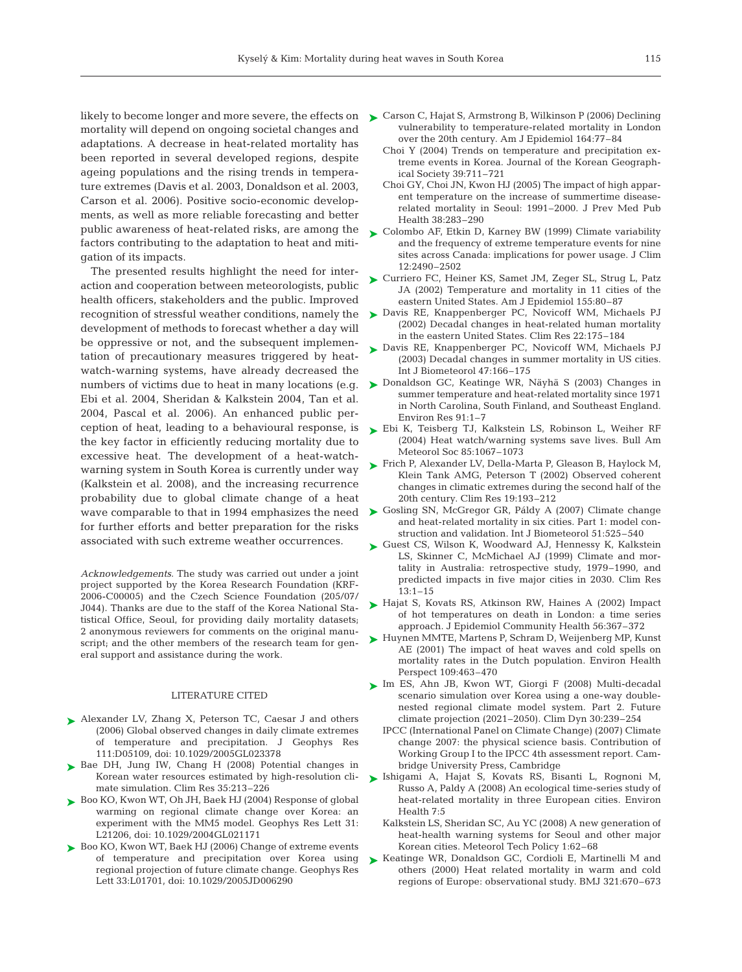likely to become longer and more severe, the effects on  $\quadblacktriangleright$  Carson C, Hajat S, Armstrong B, Wilkinson P (2006) Declining mortality will depend on ongoing societal changes and adaptations. A decrease in heat-related mortality has been reported in several developed regions, despite ageing populations and the rising trends in temperature extremes (Davis et al. 2003, Donaldson et al. 2003, Carson et al. 2006). Positive socio-economic developments, as well as more reliable forecasting and better public awareness of heat-related risks, are among the factors contributing to the adaptation to heat and mitigation of its impacts.

The presented results highlight the need for interaction and cooperation between meteorologists, public health officers, stakeholders and the public. Improved recognition of stressful weather conditions, namely the development of methods to forecast whether a day will be oppressive or not, and the subsequent implementation of precautionary measures triggered by heatwatch-warning systems, have already decreased the numbers of victims due to heat in many locations (e.g. Ebi et al. 2004, Sheridan & Kalkstein 2004, Tan et al. 2004, Pascal et al. 2006). An enhanced public perception of heat, leading to a behavioural response, is the key factor in efficiently reducing mortality due to excessive heat. The development of a heat-watchwarning system in South Korea is currently under way (Kalkstein et al. 2008), and the increasing recurrence probability due to global climate change of a heat for further efforts and better preparation for the risks associated with such extreme weather occurrences.

*Acknowledgements.* The study was carried out under a joint project supported by the Korea Research Foundation (KRF-2006-C00005) and the Czech Science Foundation (205/07/ J044). Thanks are due to the staff of the Korea National Statistical Office, Seoul, for providing daily mortality datasets; 2 anonymous reviewers for comments on the original manuscript; and the other members of the research team for general support and assistance during the work.

#### LITERATURE CITED

- ▶ Alexander LV, Zhang X, Peterson TC, Caesar J and others (2006) Global observed changes in daily climate extremes of temperature and precipitation. J Geophys Res 111:D05109, doi: 10.1029/2005GL023378
- ▶ Bae DH, Jung IW, Chang H (2008) Potential changes in Korean water resources estimated by high-resolution climate simulation. Clim Res 35:213–226
- ► Boo KO, Kwon WT, Oh JH, Baek HJ (2004) Response of global warming on regional climate change over Korea: an experiment with the MM5 model. Geophys Res Lett 31: L21206, doi: 10.1029/2004GL021171
- ► Boo KO, Kwon WT, Baek HJ (2006) Change of extreme events of temperature and precipitation over Korea using regional projection of future climate change. Geophys Res Lett 33:L01701, doi: 10.1029/2005JD006290
- vulnerability to temperature-related mortality in London over the 20th century. Am J Epidemiol 164:77–84
- Choi Y (2004) Trends on temperature and precipitation extreme events in Korea. Journal of the Korean Geographical Society 39:711–721
- Choi GY, Choi JN, Kwon HJ (2005) The impact of high apparent temperature on the increase of summertime diseaserelated mortality in Seoul: 1991–2000. J Prev Med Pub Health 38:283–290
- ► Colombo AF, Etkin D, Karney BW (1999) Climate variability and the frequency of extreme temperature events for nine sites across Canada: implications for power usage. J Clim 12:2490–2502
- ► Curriero FC, Heiner KS, Samet JM, Zeger SL, Strug L, Patz JA (2002) Temperature and mortality in 11 cities of the eastern United States. Am J Epidemiol 155:80–87
- ► Davis RE, Knappenberger PC, Novicoff WM, Michaels PJ (2002) Decadal changes in heat-related human mortality in the eastern United States. Clim Res 22:175–184
- ► Davis RE, Knappenberger PC, Novicoff WM, Michaels PJ (2003) Decadal changes in summer mortality in US cities. Int J Biometeorol 47:166–175
- ► Donaldson GC, Keatinge WR, Näyhä S (2003) Changes in summer temperature and heat-related mortality since 1971 in North Carolina, South Finland, and Southeast England. Environ Res 91:1–7
- ► Ebi K, Teisberg TJ, Kalkstein LS, Robinson L, Weiher RF (2004) Heat watch/warning systems save lives. Bull Am Meteorol Soc 85:1067–1073
- ► Frich P, Alexander LV, Della-Marta P, Gleason B, Haylock M, Klein Tank AMG, Peterson T (2002) Observed coherent changes in climatic extremes during the second half of the 20th century. Clim Res 19:193–212
- wave comparable to that in 1994 emphasizes the need  $\triangleright$  Gosling SN, McGregor GR, Páldy A (2007) Climate change and heat-related mortality in six cities. Part 1: model construction and validation. Int J Biometeorol 51:525–540
	- ► Guest CS, Wilson K, Woodward AJ, Hennessy K, Kalkstein LS, Skinner C, McMichael AJ (1999) Climate and mortality in Australia: retrospective study, 1979–1990, and predicted impacts in five major cities in 2030. Clim Res 13:1–15
	- ► Hajat S, Kovats RS, Atkinson RW, Haines A (2002) Impact of hot temperatures on death in London: a time series approach. J Epidemiol Community Health 56:367–372
	- ► Huynen MMTE, Martens P, Schram D, Weijenberg MP, Kunst AE (2001) The impact of heat waves and cold spells on mortality rates in the Dutch population. Environ Health Perspect 109:463–470
	- ► Im ES, Ahn JB, Kwon WT, Giorgi F (2008) Multi-decadal scenario simulation over Korea using a one-way doublenested regional climate model system. Part 2. Future climate projection (2021–2050). Clim Dyn 30:239–254
		- IPCC (International Panel on Climate Change) (2007) Climate change 2007: the physical science basis. Contribution of Working Group I to the IPCC 4th assessment report. Cambridge University Press, Cambridge
	- Ishigami A, Hajat S, Kovats RS, Bisanti L, Rognoni M, ➤ Russo A, Paldy A (2008) An ecological time-series study of heat-related mortality in three European cities. Environ Health 7:5
		- Kalkstein LS, Sheridan SC, Au YC (2008) A new generation of heat-health warning systems for Seoul and other major Korean cities. Meteorol Tech Policy 1:62–68
	- ▶ Keatinge WR, Donaldson GC, Cordioli E, Martinelli M and others (2000) Heat related mortality in warm and cold regions of Europe: observational study. BMJ 321:670–673